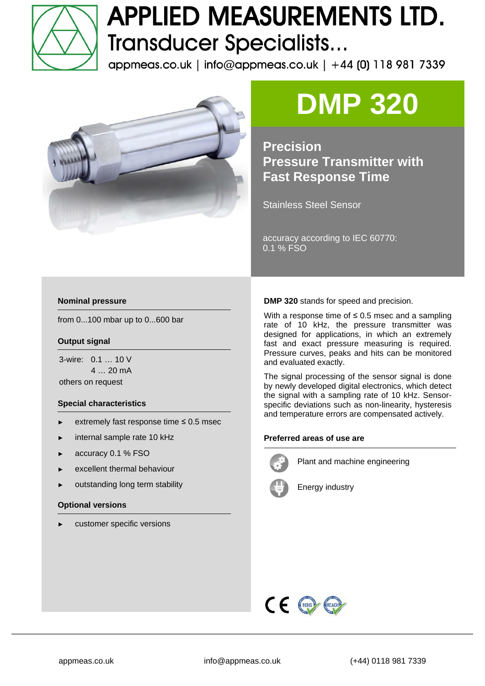

### **APPLIED MEASUREMENTS LTD. Transducer Specialists...**

appmeas.co.uk | info@appmeas.co.uk | +44 (0) 118 981 7339



# **DMP 320**

**Precision Pressure Transmitter with Fast Response Time** 

Stainless Steel Sensor

accuracy according to IEC 60770: 0.1 % FSO

#### **Nominal pressure**

from 0...100 mbar up to 0...600 bar

#### **Output signal**

3-wire: 0.1 … 10 V 4 … 20 mA others on request

#### **Special characteristics**

- extremely fast response time  $\leq 0.5$  msec
- internal sample rate 10 kHz
- accuracy 0.1 % FSO
- excellent thermal behaviour
- outstanding long term stability

#### **Optional versions**

customer specific versions

**DMP 320** stands for speed and precision.

With a response time of  $\leq$  0.5 msec and a sampling rate of 10 kHz, the pressure transmitter was designed for applications, in which an extremely fast and exact pressure measuring is required. Pressure curves, peaks and hits can be monitored and evaluated exactly.

The signal processing of the sensor signal is done by newly developed digital electronics, which detect the signal with a sampling rate of 10 kHz. Sensorspecific deviations such as non-linearity, hysteresis and temperature errors are compensated actively.

#### **Preferred areas of use are**



Plant and machine engineering



Energy industry

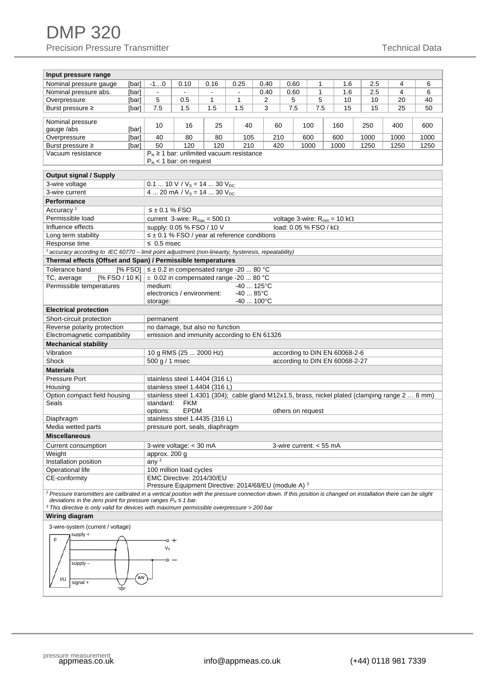| Input pressure range                                                                                                                                                             | $-10$                                          |                                                                                                          |                        |                        | 0.40 |                                |                   |                                                                                                  | 2.5  | 4    | 6    |  |  |  |  |  |
|----------------------------------------------------------------------------------------------------------------------------------------------------------------------------------|------------------------------------------------|----------------------------------------------------------------------------------------------------------|------------------------|------------------------|------|--------------------------------|-------------------|--------------------------------------------------------------------------------------------------|------|------|------|--|--|--|--|--|
| Nominal pressure gauge<br>[bar]<br>Nominal pressure abs.                                                                                                                         | $\blacksquare$                                 | 0.10<br>$\blacksquare$                                                                                   | 0.16<br>$\overline{a}$ | 0.25<br>$\blacksquare$ | 0.40 | 0.60<br>0.60                   | 1<br>$\mathbf{1}$ | 1.6<br>1.6                                                                                       | 2.5  | 4    | 6    |  |  |  |  |  |
| [bar]<br>Overpressure<br>[bar]                                                                                                                                                   | 5                                              | 0.5                                                                                                      | 1                      | 1                      | 2    | 5                              | 5                 | 10                                                                                               | 10   | 20   | 40   |  |  |  |  |  |
| Burst pressure ≥<br>[bar]                                                                                                                                                        | 7.5                                            | 1.5                                                                                                      | 1.5                    | 1.5                    | 3    | 7.5                            | 7.5               | 15                                                                                               | 15   | 25   | 50   |  |  |  |  |  |
|                                                                                                                                                                                  |                                                |                                                                                                          |                        |                        |      |                                |                   |                                                                                                  |      |      |      |  |  |  |  |  |
| Nominal pressure                                                                                                                                                                 |                                                | 10<br>16<br>25<br>40<br>60<br>100<br>160<br>250                                                          |                        |                        |      |                                |                   |                                                                                                  |      | 400  | 600  |  |  |  |  |  |
| [bar]<br>gauge /abs                                                                                                                                                              |                                                |                                                                                                          |                        |                        |      |                                |                   |                                                                                                  |      |      |      |  |  |  |  |  |
| Overpressure<br>[bar]                                                                                                                                                            | 40                                             | 80                                                                                                       | 80                     | 105                    | 210  |                                | 600               | 600                                                                                              | 1000 | 1000 | 1000 |  |  |  |  |  |
| Burst pressure ≥<br>[bar]                                                                                                                                                        | 50                                             | 120                                                                                                      | 120                    | 210                    | 420  |                                | 1000              | 1000                                                                                             | 1250 | 1250 | 1250 |  |  |  |  |  |
| Vacuum resistance                                                                                                                                                                |                                                | $P_N \ge 1$ bar: unlimited vacuum resistance<br>$P_N$ < 1 bar: on request                                |                        |                        |      |                                |                   |                                                                                                  |      |      |      |  |  |  |  |  |
|                                                                                                                                                                                  |                                                |                                                                                                          |                        |                        |      |                                |                   |                                                                                                  |      |      |      |  |  |  |  |  |
| <b>Output signal / Supply</b>                                                                                                                                                    |                                                |                                                                                                          |                        |                        |      |                                |                   |                                                                                                  |      |      |      |  |  |  |  |  |
| 3-wire voltage                                                                                                                                                                   |                                                | 0.1  10 V / $V_s$ = 14  30 $V_{DC}$                                                                      |                        |                        |      |                                |                   |                                                                                                  |      |      |      |  |  |  |  |  |
| 3-wire current                                                                                                                                                                   |                                                |                                                                                                          |                        |                        |      |                                |                   |                                                                                                  |      |      |      |  |  |  |  |  |
| 4  20 mA / $V_s$ = 14  30 $V_{DC}$<br>Performance                                                                                                                                |                                                |                                                                                                          |                        |                        |      |                                |                   |                                                                                                  |      |      |      |  |  |  |  |  |
| Accuracy <sup>1</sup>                                                                                                                                                            |                                                |                                                                                                          |                        |                        |      |                                |                   |                                                                                                  |      |      |      |  |  |  |  |  |
| Permissible load                                                                                                                                                                 |                                                | $\leq \pm 0.1$ % FSO<br>current 3-wire: $R_{max} = 500 \Omega$<br>voltage 3-wire: $R_{min} = 10 k\Omega$ |                        |                        |      |                                |                   |                                                                                                  |      |      |      |  |  |  |  |  |
| Influence effects                                                                                                                                                                |                                                | supply: 0.05 % FSO / 10 V                                                                                |                        |                        |      | load: 0.05 % FSO / $k\Omega$   |                   |                                                                                                  |      |      |      |  |  |  |  |  |
| Long term stability                                                                                                                                                              |                                                | $\leq \pm 0.1$ % FSO / year at reference conditions                                                      |                        |                        |      |                                |                   |                                                                                                  |      |      |      |  |  |  |  |  |
| Response time                                                                                                                                                                    | $\leq$ 0.5 msec                                |                                                                                                          |                        |                        |      |                                |                   |                                                                                                  |      |      |      |  |  |  |  |  |
|                                                                                                                                                                                  |                                                |                                                                                                          |                        |                        |      |                                |                   |                                                                                                  |      |      |      |  |  |  |  |  |
| <sup>1</sup> accuracy according to IEC 60770 – limit point adjustment (non-linearity, hysteresis, repeatability)<br>Thermal effects (Offset and Span) / Permissible temperatures |                                                |                                                                                                          |                        |                        |      |                                |                   |                                                                                                  |      |      |      |  |  |  |  |  |
| [% FSO] $\leq \pm 0.2$ in compensated range -20  80 °C<br>Tolerance band                                                                                                         |                                                |                                                                                                          |                        |                        |      |                                |                   |                                                                                                  |      |      |      |  |  |  |  |  |
| [% FSO / 10 K]<br>TC, average                                                                                                                                                    |                                                | $\pm$ 0.02 in compensated range -20  80 °C                                                               |                        |                        |      |                                |                   |                                                                                                  |      |      |      |  |  |  |  |  |
| Permissible temperatures                                                                                                                                                         |                                                | medium:<br>$-40$ 125 $^{\circ}$ C                                                                        |                        |                        |      |                                |                   |                                                                                                  |      |      |      |  |  |  |  |  |
|                                                                                                                                                                                  | electronics / environment:<br>$-4085^{\circ}C$ |                                                                                                          |                        |                        |      |                                |                   |                                                                                                  |      |      |      |  |  |  |  |  |
|                                                                                                                                                                                  | $-40100^{\circ}$ C<br>storage:                 |                                                                                                          |                        |                        |      |                                |                   |                                                                                                  |      |      |      |  |  |  |  |  |
| <b>Electrical protection</b>                                                                                                                                                     |                                                |                                                                                                          |                        |                        |      |                                |                   |                                                                                                  |      |      |      |  |  |  |  |  |
| Short-circuit protection                                                                                                                                                         |                                                | permanent                                                                                                |                        |                        |      |                                |                   |                                                                                                  |      |      |      |  |  |  |  |  |
| Reverse polarity protection                                                                                                                                                      |                                                | no damage, but also no function                                                                          |                        |                        |      |                                |                   |                                                                                                  |      |      |      |  |  |  |  |  |
| Electromagnetic compatibility                                                                                                                                                    |                                                | emission and immunity according to EN 61326                                                              |                        |                        |      |                                |                   |                                                                                                  |      |      |      |  |  |  |  |  |
| <b>Mechanical stability</b>                                                                                                                                                      |                                                |                                                                                                          |                        |                        |      |                                |                   |                                                                                                  |      |      |      |  |  |  |  |  |
| Vibration                                                                                                                                                                        |                                                | 10 g RMS (25  2000 Hz)<br>according to DIN EN 60068-2-6                                                  |                        |                        |      |                                |                   |                                                                                                  |      |      |      |  |  |  |  |  |
| Shock                                                                                                                                                                            |                                                | 500 g / 1 msec<br>according to DIN EN 60068-2-27                                                         |                        |                        |      |                                |                   |                                                                                                  |      |      |      |  |  |  |  |  |
|                                                                                                                                                                                  |                                                |                                                                                                          |                        |                        |      |                                |                   |                                                                                                  |      |      |      |  |  |  |  |  |
| <b>Materials</b>                                                                                                                                                                 |                                                |                                                                                                          |                        |                        |      | stainless steel 1.4404 (316 L) |                   |                                                                                                  |      |      |      |  |  |  |  |  |
| Pressure Port                                                                                                                                                                    |                                                |                                                                                                          |                        |                        |      |                                |                   |                                                                                                  |      |      |      |  |  |  |  |  |
| Housing                                                                                                                                                                          |                                                | stainless steel 1.4404 (316 L)                                                                           |                        |                        |      |                                |                   |                                                                                                  |      |      |      |  |  |  |  |  |
| Option compact field housing                                                                                                                                                     |                                                |                                                                                                          |                        |                        |      |                                |                   | stainless steel 1.4301 (304); cable gland M12x1.5, brass, nickel plated (clamping range 2  8 mm) |      |      |      |  |  |  |  |  |
| Seals                                                                                                                                                                            | standard:                                      | <b>FKM</b>                                                                                               |                        |                        |      |                                |                   |                                                                                                  |      |      |      |  |  |  |  |  |
|                                                                                                                                                                                  | options:                                       | <b>EPDM</b>                                                                                              |                        |                        |      | others on request              |                   |                                                                                                  |      |      |      |  |  |  |  |  |
| Diaphragm                                                                                                                                                                        |                                                | stainless steel 1.4435 (316 L)                                                                           |                        |                        |      |                                |                   |                                                                                                  |      |      |      |  |  |  |  |  |
| Media wetted parts                                                                                                                                                               |                                                | pressure port, seals, diaphragm                                                                          |                        |                        |      |                                |                   |                                                                                                  |      |      |      |  |  |  |  |  |
| <b>Miscellaneous</b>                                                                                                                                                             |                                                |                                                                                                          |                        |                        |      |                                |                   |                                                                                                  |      |      |      |  |  |  |  |  |
| Current consumption                                                                                                                                                              |                                                | 3-wire voltage: < 30 mA                                                                                  |                        |                        |      | 3-wire current: $<$ 55 mA      |                   |                                                                                                  |      |      |      |  |  |  |  |  |
| Weight                                                                                                                                                                           | approx. $200 \overline{g}$                     |                                                                                                          |                        |                        |      |                                |                   |                                                                                                  |      |      |      |  |  |  |  |  |
| Installation position                                                                                                                                                            | any <sup>2</sup>                               |                                                                                                          |                        |                        |      |                                |                   |                                                                                                  |      |      |      |  |  |  |  |  |
| Operational life                                                                                                                                                                 |                                                | 100 million load cycles                                                                                  |                        |                        |      |                                |                   |                                                                                                  |      |      |      |  |  |  |  |  |
| CE-conformity                                                                                                                                                                    |                                                | EMC Directive: 2014/30/EU                                                                                |                        |                        |      |                                |                   |                                                                                                  |      |      |      |  |  |  |  |  |
|                                                                                                                                                                                  |                                                | Pressure Equipment Directive: 2014/68/EU (module A) 3                                                    |                        |                        |      |                                |                   |                                                                                                  |      |      |      |  |  |  |  |  |
| <sup>2</sup> Pressure transmitters are calibrated in a vertical position with the pressure connection down. If this position is changed on installation there can be slight      |                                                |                                                                                                          |                        |                        |      |                                |                   |                                                                                                  |      |      |      |  |  |  |  |  |
| deviations in the zero point for pressure ranges $P_N \leq 1$ bar.<br>$3$ This directive is only valid for devices with maximum permissible overpressure $>$ 200 bar             |                                                |                                                                                                          |                        |                        |      |                                |                   |                                                                                                  |      |      |      |  |  |  |  |  |
| Wiring diagram                                                                                                                                                                   |                                                |                                                                                                          |                        |                        |      |                                |                   |                                                                                                  |      |      |      |  |  |  |  |  |
|                                                                                                                                                                                  |                                                |                                                                                                          |                        |                        |      |                                |                   |                                                                                                  |      |      |      |  |  |  |  |  |
| 3-wire-system (current / voltage)<br>supply +                                                                                                                                    |                                                |                                                                                                          |                        |                        |      |                                |                   |                                                                                                  |      |      |      |  |  |  |  |  |
| p                                                                                                                                                                                | o +                                            |                                                                                                          |                        |                        |      |                                |                   |                                                                                                  |      |      |      |  |  |  |  |  |
|                                                                                                                                                                                  | Vs                                             |                                                                                                          |                        |                        |      |                                |                   |                                                                                                  |      |      |      |  |  |  |  |  |
|                                                                                                                                                                                  |                                                |                                                                                                          |                        |                        |      |                                |                   |                                                                                                  |      |      |      |  |  |  |  |  |
| supply -                                                                                                                                                                         |                                                |                                                                                                          |                        |                        |      |                                |                   |                                                                                                  |      |      |      |  |  |  |  |  |
|                                                                                                                                                                                  |                                                |                                                                                                          |                        |                        |      |                                |                   |                                                                                                  |      |      |      |  |  |  |  |  |
| I/U<br>signal +                                                                                                                                                                  | A/V                                            |                                                                                                          |                        |                        |      |                                |                   |                                                                                                  |      |      |      |  |  |  |  |  |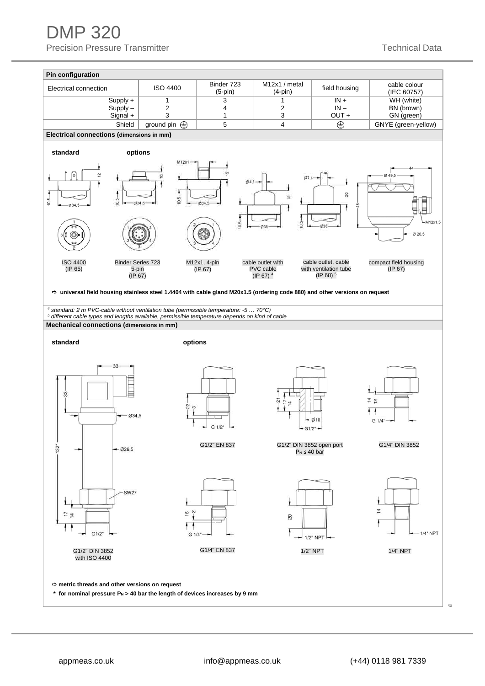DMP 320 Precision Pressure Transmitter Technical Data